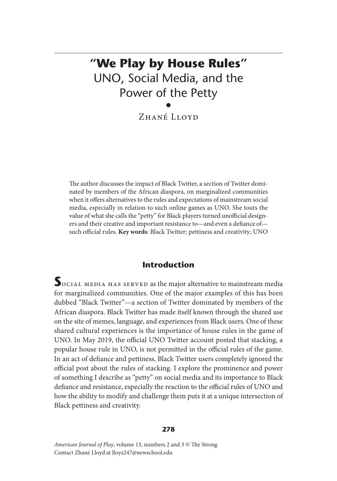# **"We Play by House Rules"** UNO, Social Media, and the Power of the Petty •

Zhané Lloyd

The author discusses the impact of Black Twitter, a section of Twitter dominated by members of the African diaspora, on marginalized communities when it offers alternatives to the rules and expectations of mainstream social media, especially in relation to such online games as UNO. She touts the value of what she calls the "petty" for Black players turned unofficial designers and their creative and important resistance to—and even a defiance of such official rules. **Key words**: Black Twitter; pettiness and creativity; UNO

# **Introduction**

**S**ocial media has served as the major alternative to mainstream media for marginalized communities. One of the major examples of this has been dubbed "Black Twitter"—a section of Twitter dominated by members of the African diaspora. Black Twitter has made itself known through the shared use on the site of memes, language, and experiences from Black users. One of these shared cultural experiences is the importance of house rules in the game of UNO. In May 2019, the official UNO Twitter account posted that stacking, a popular house rule in UNO, is not permitted in the official rules of the game. In an act of defiance and pettiness, Black Twitter users completely ignored the official post about the rules of stacking. I explore the prominence and power of something I describe as "petty" on social media and its importance to Black defiance and resistance, especially the reaction to the official rules of UNO and how the ability to modify and challenge them puts it at a unique intersection of Black pettiness and creativity.

#### **278**

*American Journal of Play*, volume 13, numbers 2 and 3 © The Strong Contact Zhané Lloyd at lloyz247@newschool.edu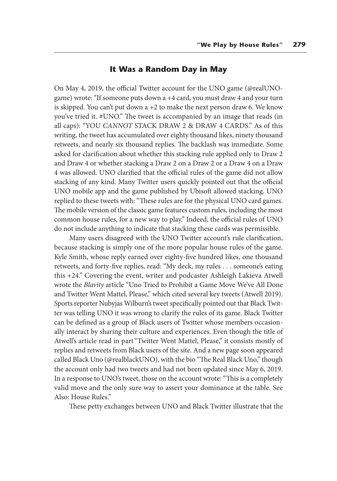## **It Was a Random Day in May**

On May 4, 2019, the official Twitter account for the UNO game (@realUNOgame) wrote: "If someone puts down a +4 card, you must draw 4 and your turn is skipped. You can't put down  $a + 2$  to make the next person draw 6. We know you've tried it. #UNO." The tweet is accompanied by an image that reads (in all caps): "YOU *CANNOT* STACK DRAW 2 & DRAW 4 CARDS." As of this writing, the tweet has accumulated over eighty thousand likes, ninety thousand retweets, and nearly six thousand replies. The backlash was immediate. Some asked for clarification about whether this stacking rule applied only to Draw 2 and Draw 4 or whether stacking a Draw 2 on a Draw 2 or a Draw 4 on a Draw 4 was allowed. UNO clarified that the official rules of the game did not allow stacking of any kind. Many Twitter users quickly pointed out that the official UNO mobile app and the game published by Ubisoft allowed stacking. UNO replied to these tweets with: "These rules are for the physical UNO card games. The mobile version of the classic game features custom rules, including the most common house rules, for a new way to play." Indeed, the official rules of UNO do not include anything to indicate that stacking these cards was permissible.

Many users disagreed with the UNO Twitter account's rule clarification, because stacking is simply one of the more popular house rules of the game. Kyle Smith, whose reply earned over eighty-five hundred likes, one thousand retweets, and forty-five replies, read: "My deck, my rules . . . someone's eating this +24." Covering the event, writer and podcaster Ashleigh Lakieva Atwell wrote the *Blavity* article "Uno Tried to Prohibit a Game Move We've All Done and Twitter Went Mattel, Please," which cited several key tweets (Atwell 2019). Sports reporter Nubyjas Wilburn's tweet specifically pointed out that Black Twitter was telling UNO it was wrong to clarify the rules of its game. Black Twitter can be defined as a group of Black users of Twitter whose members occasionally interact by sharing their culture and experiences. Even though the title of Atwell's article read in part "Twitter Went Mattel, Please," it consists mostly of replies and retweets from Black users of the site. And a new page soon appeared called Black Uno (@realblackUNO), with the bio "The Real Black Uno," though the account only had two tweets and had not been updated since May 6, 2019. In a response to UNO's tweet, those on the account wrote: "This is a completely valid move and the only sure way to assert your dominance at the table. See Also: House Rules."

These petty exchanges between UNO and Black Twitter illustrate that the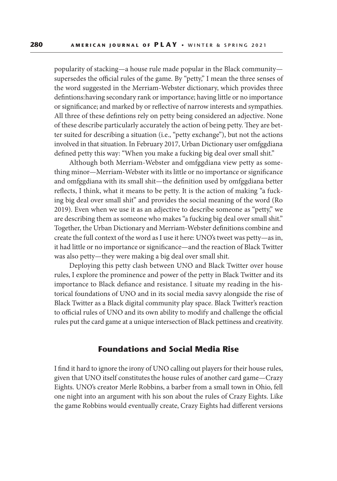popularity of stacking—a house rule made popular in the Black community supersedes the official rules of the game. By "petty," I mean the three senses of the word suggested in the Merriam-Webster dictionary, which provides three defintions: having secondary rank or importance; having little or no importance or significance; and marked by or reflective of narrow interests and sympathies. All three of these defintions rely on petty being considered an adjective. None of these describe particularly accurately the action of being petty. They are better suited for describing a situation (i.e., "petty exchange"), but not the actions involved in that situation. In February 2017, Urban Dictionary user omfggdiana defined petty this way: "When you make a fucking big deal over small shit."

Although both Merriam-Webster and omfggdiana view petty as something minor—Merriam-Webster with its little or no importance or significance and omfggdiana with its small shit—the definition used by omfggdiana better reflects, I think, what it means to be petty. It is the action of making "a fucking big deal over small shit" and provides the social meaning of the word (Ro 2019). Even when we use it as an adjective to describe someone as "petty," we are describing them as someone who makes "a fucking big deal over small shit." Together, the Urban Dictionary and Merriam-Webster definitions combine and create the full context of the word as I use it here: UNO's tweet was petty—as in, it had little or no importance or significance—and the reaction of Black Twitter was also petty—they were making a big deal over small shit.

Deploying this petty clash between UNO and Black Twitter over house rules, I explore the prominence and power of the petty in Black Twitter and its importance to Black defiance and resistance. I situate my reading in the historical foundations of UNO and in its social media savvy alongside the rise of Black Twitter as a Black digital community play space. Black Twitter's reaction to official rules of UNO and its own ability to modify and challenge the official rules put the card game at a unique intersection of Black pettiness and creativity.

## **Foundations and Social Media Rise**

I find it hard to ignore the irony of UNO calling out players for their house rules, given that UNO itself constitutes the house rules of another card game—Crazy Eights. UNO's creator Merle Robbins, a barber from a small town in Ohio, fell one night into an argument with his son about the rules of Crazy Eights. Like the game Robbins would eventually create, Crazy Eights had different versions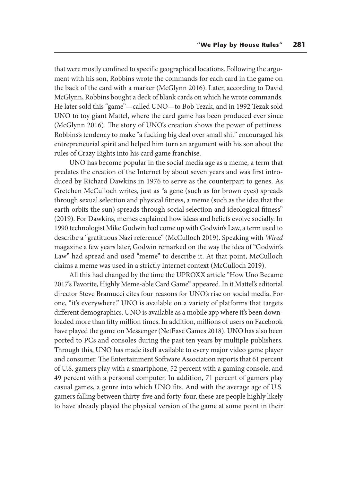that were mostly confined to specific geographical locations. Following the argument with his son, Robbins wrote the commands for each card in the game on the back of the card with a marker (McGlynn 2016). Later, according to David McGlynn, Robbins bought a deck of blank cards on which he wrote commands. He later sold this "game"—called UNO—to Bob Tezak, and in 1992 Tezak sold UNO to toy giant Mattel, where the card game has been produced ever since (McGlynn 2016). The story of UNO's creation shows the power of pettiness. Robbins's tendency to make "a fucking big deal over small shit" encouraged his entrepreneurial spirit and helped him turn an argument with his son about the rules of Crazy Eights into his card game franchise.

UNO has become popular in the social media age as a meme, a term that predates the creation of the Internet by about seven years and was first introduced by Richard Dawkins in 1976 to serve as the counterpart to genes. As Gretchen McCulloch writes, just as "a gene (such as for brown eyes) spreads through sexual selection and physical fitness, a meme (such as the idea that the earth orbits the sun) spreads through social selection and ideological fitness" (2019). For Dawkins, memes explained how ideas and beliefs evolve socially. In 1990 technologist Mike Godwin had come up with Godwin's Law, a term used to describe a "gratituous Nazi reference" (McCulloch 2019). Speaking with *Wired* magazine a few years later, Godwin remarked on the way the idea of "Godwin's Law" had spread and used "meme" to describe it. At that point, McCulloch claims a meme was used in a strictly Internet context (McCulloch 2019).

All this had changed by the time the UPROXX article "How Uno Became 2017's Favorite, Highly Meme-able Card Game" appeared. In it Mattel's editorial director Steve Bramucci cites four reasons for UNO's rise on social media. For one, "it's everywhere." UNO is available on a variety of platforms that targets different demographics. UNO is available as a mobile app where it's been downloaded more than fifty million times. In addition, millions of users on Facebook have played the game on Messenger (NetEase Games 2018). UNO has also been ported to PCs and consoles during the past ten years by multiple publishers. Through this, UNO has made itself available to every major video game player and consumer. The Entertainment Software Association reports that 61 percent of U.S. gamers play with a smartphone, 52 percent with a gaming console, and 49 percent with a personal computer. In addition, 71 percent of gamers play casual games, a genre into which UNO fits. And with the average age of U.S. gamers falling between thirty-five and forty-four, these are people highly likely to have already played the physical version of the game at some point in their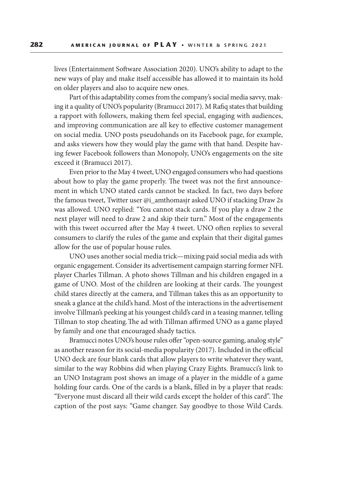lives (Entertainment Software Association 2020). UNO's ability to adapt to the new ways of play and make itself accessible has allowed it to maintain its hold on older players and also to acquire new ones.

Part of this adaptability comes from the company's social media savvy, making it a quality of UNO's popularity (Bramucci 2017). M Rafiq states that building a rapport with followers, making them feel special, engaging with audiences, and improving communication are all key to effective customer management on social media. UNO posts pseudohands on its Facebook page, for example, and asks viewers how they would play the game with that hand. Despite having fewer Facebook followers than Monopoly, UNO's engagements on the site exceed it (Bramucci 2017).

Even prior to the May 4 tweet, UNO engaged consumers who had questions about how to play the game properly. The tweet was not the first announcement in which UNO stated cards cannot be stacked. In fact, two days before the famous tweet, Twitter user @i\_amthomasjr asked UNO if stacking Draw 2s was allowed. UNO replied: "You cannot stack cards. If you play a draw 2 the next player will need to draw 2 and skip their turn." Most of the engagements with this tweet occurred after the May 4 tweet. UNO often replies to several consumers to clarify the rules of the game and explain that their digital games allow for the use of popular house rules.

UNO uses another social media trick—mixing paid social media ads with organic engagement. Consider its advertisement campaign starring former NFL player Charles Tillman. A photo shows Tillman and his children engaged in a game of UNO. Most of the children are looking at their cards. The youngest child stares directly at the camera, and Tillman takes this as an opportunity to sneak a glance at the child's hand. Most of the interactions in the advertisement involve Tillman's peeking at his youngest child's card in a teasing manner, telling Tillman to stop cheating. The ad with Tillman affirmed UNO as a game played by family and one that encouraged shady tactics.

Bramucci notes UNO's house rules offer "open-source gaming, analog style" as another reason for its social-media popularity (2017). Included in the official UNO deck are four blank cards that allow players to write whatever they want, similar to the way Robbins did when playing Crazy Eights. Bramucci's link to an UNO Instagram post shows an image of a player in the middle of a game holding four cards. One of the cards is a blank, filled in by a player that reads: "Everyone must discard all their wild cards except the holder of this card". The caption of the post says: "Game changer. Say goodbye to those Wild Cards.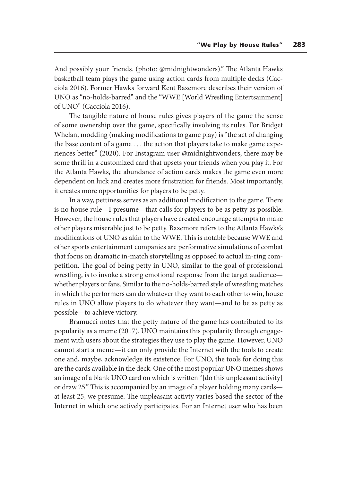And possibly your friends. (photo: @midnightwonders)." The Atlanta Hawks basketball team plays the game using action cards from multiple decks (Cacciola 2016). Former Hawks forward Kent Bazemore describes their version of UNO as "no-holds-barred" and the "WWE [World Wrestling Entertsainment] of UNO" (Cacciola 2016).

The tangible nature of house rules gives players of the game the sense of some ownership over the game, specifically involving its rules. For Bridget Whelan, modding (making modifications to game play) is "the act of changing the base content of a game . . . the action that players take to make game experiences better" (2020). For Instagram user @midnightwonders, there may be some thrill in a customized card that upsets your friends when you play it. For the Atlanta Hawks, the abundance of action cards makes the game even more dependent on luck and creates more frustration for friends. Most importantly, it creates more opportunities for players to be petty.

In a way, pettiness serves as an additional modification to the game. There is no house rule—I presume—that calls for players to be as petty as possible. However, the house rules that players have created encourage attempts to make other players miserable just to be petty. Bazemore refers to the Atlanta Hawks's modifications of UNO as akin to the WWE. This is notable because WWE and other sports entertainment companies are performative simulations of combat that focus on dramatic in-match storytelling as opposed to actual in-ring competition. The goal of being petty in UNO, similar to the goal of professional wrestling, is to invoke a strong emotional response from the target audience whether players or fans. Similar to the no-holds-barred style of wrestling matches in which the performers can do whatever they want to each other to win, house rules in UNO allow players to do whatever they want—and to be as petty as possible—to achieve victory.

Bramucci notes that the petty nature of the game has contributed to its popularity as a meme (2017). UNO maintains this popularity through engagement with users about the strategies they use to play the game. However, UNO cannot start a meme—it can only provide the Internet with the tools to create one and, maybe, acknowledge its existence. For UNO, the tools for doing this are the cards available in the deck. One of the most popular UNO memes shows an image of a blank UNO card on which is written "[do this unpleasant activity] or draw 25." This is accompanied by an image of a player holding many cards at least 25, we presume. The unpleasant activty varies based the sector of the Internet in which one actively participates. For an Internet user who has been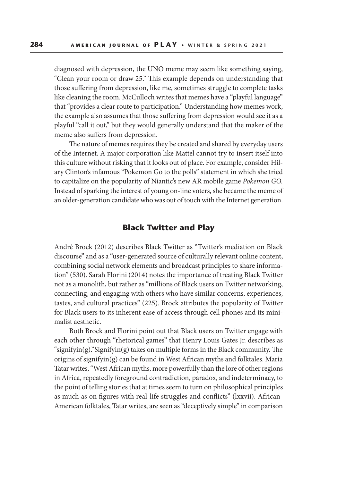diagnosed with depression, the UNO meme may seem like something saying, "Clean your room or draw 25." This example depends on understanding that those suffering from depression, like me, sometimes struggle to complete tasks like cleaning the room. McCulloch writes that memes have a "playful language" that "provides a clear route to participation." Understanding how memes work, the example also assumes that those suffering from depression would see it as a playful "call it out," but they would generally understand that the maker of the meme also suffers from depression.

The nature of memes requires they be created and shared by everyday users of the Internet. A major corporation like Mattel cannot try to insert itself into this culture without risking that it looks out of place. For example, consider Hilary Clinton's infamous "Pokemon Go to the polls" statement in which she tried to capitalize on the popularity of Niantic's new AR mobile game *Pokemon GO.*  Instead of sparking the interest of young on-line voters, she became the meme of an older-generation candidate who was out of touch with the Internet generation.

# **Black Twitter and Play**

André Brock (2012) describes Black Twitter as "Twitter's mediation on Black discourse" and as a "user-generated source of culturally relevant online content, combining social network elements and broadcast principles to share information" (530). Sarah Florini (2014) notes the importance of treating Black Twitter not as a monolith, but rather as "millions of Black users on Twitter networking, connecting, and engaging with others who have similar concerns, experiences, tastes, and cultural practices" (225). Brock attributes the popularity of Twitter for Black users to its inherent ease of access through cell phones and its minimalist aesthetic.

Both Brock and Florini point out that Black users on Twitter engage with each other through "rhetorical games" that Henry Louis Gates Jr. describes as "signifyin(g)." Signifyin(g) takes on multiple forms in the Black community. The origins of signifyin(g) can be found in West African myths and folktales. Maria Tatar writes, "West African myths, more powerfully than the lore of other regions in Africa, repeatedly foreground contradiction, paradox, and indeterminacy, to the point of telling stories that at times seem to turn on philosophical principles as much as on figures with real-life struggles and conflicts" (lxxvii). African-American folktales, Tatar writes, are seen as "deceptively simple" in comparison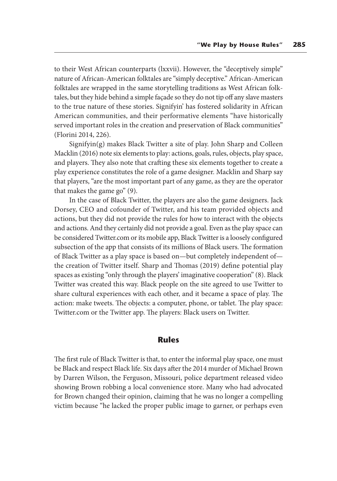to their West African counterparts (lxxvii). However, the "deceptively simple" nature of African-American folktales are "simply deceptive." African-American folktales are wrapped in the same storytelling traditions as West African folktales, but they hide behind a simple façade so they do not tip off any slave masters to the true nature of these stories. Signifyin' has fostered solidarity in African American communities, and their performative elements "have historically served important roles in the creation and preservation of Black communities" (Florini 2014, 226).

Signifyin(g) makes Black Twitter a site of play. John Sharp and Colleen Macklin (2016) note six elements to play: actions, goals, rules, objects, play space, and players. They also note that crafting these six elements together to create a play experience constitutes the role of a game designer. Macklin and Sharp say that players, "are the most important part of any game, as they are the operator that makes the game go" (9).

In the case of Black Twitter, the players are also the game designers. Jack Dorsey, CEO and cofounder of Twitter, and his team provided objects and actions, but they did not provide the rules for how to interact with the objects and actions. And they certainly did not provide a goal. Even as the play space can be considered Twitter.com or its mobile app, Black Twitter is a loosely configured subsection of the app that consists of its millions of Black users. The formation of Black Twitter as a play space is based on—but completely independent of the creation of Twitter itself. Sharp and Thomas (2019) define potential play spaces as existing "only through the players' imaginative cooperation" (8). Black Twitter was created this way. Black people on the site agreed to use Twitter to share cultural experiences with each other, and it became a space of play. The action: make tweets. The objects: a computer, phone, or tablet. The play space: Twitter.com or the Twitter app. The players: Black users on Twitter.

### **Rules**

The first rule of Black Twitter is that, to enter the informal play space, one must be Black and respect Black life. Six days after the 2014 murder of Michael Brown by Darren Wilson, the Ferguson, Missouri, police department released video showing Brown robbing a local convenience store. Many who had advocated for Brown changed their opinion, claiming that he was no longer a compelling victim because "he lacked the proper public image to garner, or perhaps even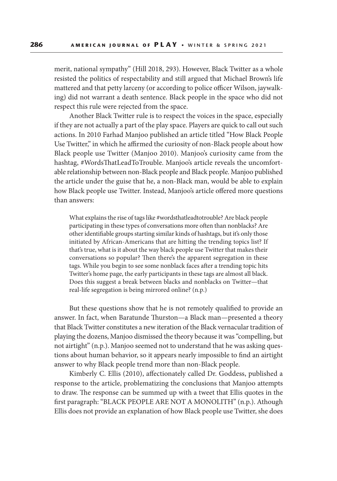merit, national sympathy" (Hill 2018, 293). However, Black Twitter as a whole resisted the politics of respectability and still argued that Michael Brown's life mattered and that petty larceny (or according to police officer Wilson, jaywalking) did not warrant a death sentence. Black people in the space who did not respect this rule were rejected from the space.

Another Black Twitter rule is to respect the voices in the space, especially if they are not actually a part of the play space. Players are quick to call out such actions. In 2010 Farhad Manjoo published an article titled "How Black People Use Twitter," in which he affirmed the curiosity of non-Black people about how Black people use Twitter (Manjoo 2010). Manjoo's curiosity came from the hashtag, #WordsThatLeadToTrouble. Manjoo's article reveals the uncomfortable relationship between non-Black people and Black people. Manjoo published the article under the guise that he, a non-Black man, would be able to explain how Black people use Twitter. Instead, Manjoo's article offered more questions than answers:

What explains the rise of tags like #wordsthatleadtotrouble? Are black people participating in these types of conversations more often than nonblacks? Are other identifiable groups starting similar kinds of hashtags, but it's only those initiated by African-Americans that are hitting the trending topics list? If that's true, what is it about the way black people use Twitter that makes their conversations so popular? Then there's the apparent segregation in these tags. While you begin to see some nonblack faces after a trending topic hits Twitter's home page, the early participants in these tags are almost all black. Does this suggest a break between blacks and nonblacks on Twitter—that real-life segregation is being mirrored online? (n.p.)

But these questions show that he is not remotely qualified to provide an answer. In fact, when Baratunde Thurston—a Black man—presented a theory that Black Twitter constitutes a new iteration of the Black vernacular tradition of playing the dozens, Manjoo dismissed the theory because it was "compelling, but not airtight" (n.p.). Manjoo seemed not to understand that he was asking questions about human behavior, so it appears nearly impossible to find an airtight answer to why Black people trend more than non-Black people.

Kimberly C. Ellis (2010), affectionately called Dr. Goddess, published a response to the article, problematizing the conclusions that Manjoo attempts to draw. The response can be summed up with a tweet that Ellis quotes in the first paragraph: "BLACK PEOPLE ARE NOT A MONOLITH" (n.p.). Athough Ellis does not provide an explanation of how Black people use Twitter, she does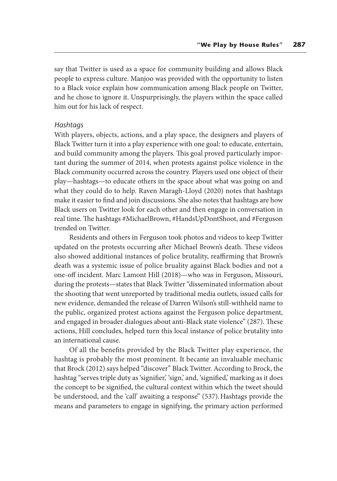say that Twitter is used as a space for community building and allows Black people to express culture. Manjoo was provided with the opportunity to listen to a Black voice explain how communication among Black people on Twitter, and he chose to ignore it. Unspurprisingly, the players within the space called him out for his lack of respect.

#### *Hashtags*

With players, objects, actions, and a play space, the designers and players of Black Twitter turn it into a play experience with one goal: to educate, entertain, and build community among the players. This goal proved particularly important during the summer of 2014, when protests against police violence in the Black community occurred across the country. Players used one object of their play—hashtags—to educate others in the space about what was going on and what they could do to help. Raven Maragh-Lloyd (2020) notes that hashtags make it easier to find and join discussions. She also notes that hashtags are how Black users on Twitter look for each other and then engage in conversation in real time. The hashtags #MichaelBrown, #HandsUpDontShoot, and #Ferguson trended on Twitter.

Residents and others in Ferguson took photos and videos to keep Twitter updated on the protests occurring after Michael Brown's death. These videos also showed additional instances of police brutality, reaffirming that Brown's death was a systemic issue of police bruality against Black bodies and not a one-off incident. Marc Lamont Hill (2018)—who was in Ferguson, Missouri, during the protests—states that Black Twitter "disseminated information about the shooting that went unreported by traditional media outlets, issued calls for new evidence, demanded the release of Darren Wilson's still-withheld name to the public, organized protest actions against the Ferguson police department, and engaged in broader dialogues about anti-Black state violence" (287). These actions, Hill concludes, helped turn this local instance of police brutality into an international cause.

Of all the benefits provided by the Black Twitter play experience, the hashtag is probably the most prominent. It became an invaluable mechanic that Brock (2012) says helped "discover" Black Twitter. According to Brock, the hashtag "serves triple duty as 'signifier,' 'sign,' and, 'signified,' marking as it does the concept to be signified, the cultural context within which the tweet should be understood, and the 'call' awaiting a response" (537). Hashtags provide the means and parameters to engage in signifying, the primary action performed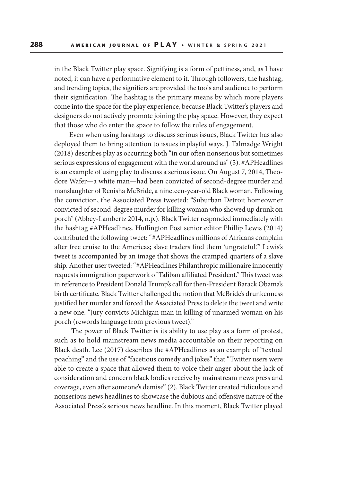in the Black Twitter play space. Signifying is a form of pettiness, and, as I have noted, it can have a performative element to it. Through followers, the hashtag, and trending topics, the signifiers are provided the tools and audience to perform their signification. The hashtag is the primary means by which more players come into the space for the play experience, because Black Twitter's players and designers do not actively promote joining the play space. However, they expect that those who do enter the space to follow the rules of engagement.

Even when using hashtags to discuss serious issues, Black Twitter has also deployed them to bring attention to issues in playful ways. J. Talmadge Wright (2018) describes play as occurring both "in our often nonserious but sometimes serious expressions of engagement with the world around us" (5). #APHeadlines is an example of using play to discuss a serious issue. On August 7, 2014, Theodore Wafer—a white man—had been convicted of second-degree murder and manslaughter of Renisha McBride, a nineteen-year-old Black woman. Following the conviction, the Associated Press tweeted: "Suburban Detroit homeowner convicted of second-degree murder for killing woman who showed up drunk on porch" (Abbey-Lambertz 2014, n.p.). Black Twitter responded immediately with the hashtag #APHeadlines. Huffington Post senior editor Phillip Lewis (2014) contributed the following tweet: "#APHeadlines millions of Africans complain after free cruise to the Americas; slave traders find them 'ungrateful.'" Lewis's tweet is accompanied by an image that shows the cramped quarters of a slave ship. Another user tweeted: "#APHeadlines Philanthropic millionaire innocently requests immigration paperwork of Taliban affiliated President." This tweet was in reference to President Donald Trump's call for then-President Barack Obama's birth certificate. Black Twitter challenged the notion that McBride's drunkenness justified her murder and forced the Associated Press to delete the tweet and write a new one: "Jury convicts Michigan man in killing of unarmed woman on his porch (rewords language from previous tweet)."

 The power of Black Twitter is its ability to use play as a form of protest, such as to hold mainstream news media accountable on their reporting on Black death. Lee (2017) describes the #APHeadlines as an example of "textual poaching" and the use of "facetious comedy and jokes" that "Twitter users were able to create a space that allowed them to voice their anger about the lack of consideration and concern black bodies receive by mainstream news press and coverage, even after someone's demise" (2). Black Twitter created ridiculous and nonserious news headlines to showcase the dubious and offensive nature of the Associated Press's serious news headline. In this moment, Black Twitter played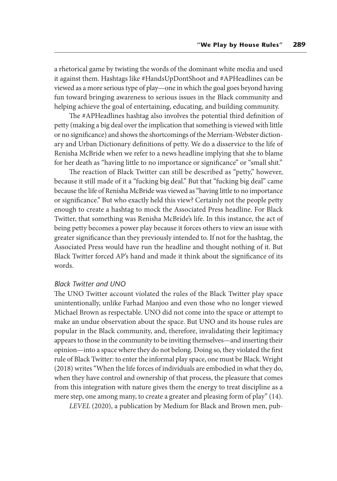a rhetorical game by twisting the words of the dominant white media and used it against them. Hashtags like #HandsUpDontShoot and #APHeadlines can be viewed as a more serious type of play—one in which the goal goes beyond having fun toward bringing awareness to serious issues in the Black community and helping achieve the goal of entertaining, educating, and building community.

The #APHeadlines hashtag also involves the potential third definition of petty (making a big deal over the implication that something is viewed with little or no significance) and shows the shortcomings of the Merriam-Webster dictionary and Urban Dictionary definitions of petty. We do a disservice to the life of Renisha McBride when we refer to a news headline implying that she to blame for her death as "having little to no importance or significance" or "small shit."

The reaction of Black Twitter can still be described as "petty," however, because it still made of it a "fucking big deal." But that "fucking big deal" came because the life of Renisha McBride was viewed as "having little to no importance or significance." But who exactly held this view? Certainly not the people petty enough to create a hashtag to mock the Associated Press headline. For Black Twitter, that something was Renisha McBride's life. In this instance, the act of being petty becomes a power play because it forces others to view an issue with greater significance than they previously intended to. If not for the hashtag, the Associated Press would have run the headline and thought nothing of it. But Black Twitter forced AP's hand and made it think about the significance of its words.

#### *Black Twitter and UNO*

The UNO Twitter account violated the rules of the Black Twitter play space unintentionally, unlike Farhad Manjoo and even those who no longer viewed Michael Brown as respectable. UNO did not come into the space or attempt to make an undue observation about the space. But UNO and its house rules are popular in the Black community, and, therefore, invalidating their legitimacy appears to those in the community to be inviting themselves—and inserting their opinion—into a space where they do not belong. Doing so, they violated the first rule of Black Twitter: to enter the informal play space, one must be Black. Wright (2018) writes "When the life forces of individuals are embodied in what they do, when they have control and ownership of that process, the pleasure that comes from this integration with nature gives them the energy to treat discipline as a mere step, one among many, to create a greater and pleasing form of play" (14).

*LEVEL* (2020), a publication by Medium for Black and Brown men, pub-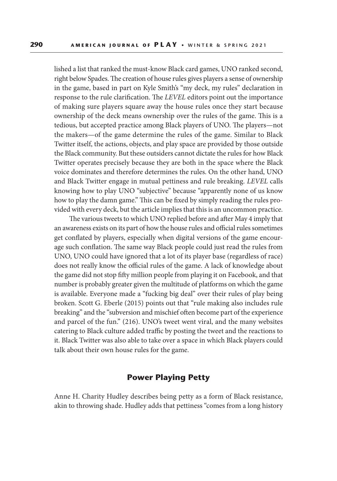lished a list that ranked the must-know Black card games, UNO ranked second, right below Spades. The creation of house rules gives players a sense of ownership in the game, based in part on Kyle Smith's "my deck, my rules" declaration in response to the rule clarification. The *LEVEL* editors point out the importance of making sure players square away the house rules once they start because ownership of the deck means ownership over the rules of the game. This is a tedious, but accepted practice among Black players of UNO. The players—not the makers—of the game determine the rules of the game. Similar to Black Twitter itself, the actions, objects, and play space are provided by those outside the Black community. But these outsiders cannot dictate the rules for how Black Twitter operates precisely because they are both in the space where the Black voice dominates and therefore determines the rules. On the other hand, UNO and Black Twitter engage in mutual pettiness and rule breaking. *LEVEL* calls knowing how to play UNO "subjective" because "apparently none of us know how to play the damn game." This can be fixed by simply reading the rules provided with every deck, but the article implies that this is an uncommon practice.

The various tweets to which UNO replied before and after May 4 imply that an awareness exists on its part of how the house rules and official rules sometimes get conflated by players, especially when digital versions of the game encourage such conflation. The same way Black people could just read the rules from UNO, UNO could have ignored that a lot of its player base (regardless of race) does not really know the official rules of the game. A lack of knowledge about the game did not stop fifty million people from playing it on Facebook, and that number is probably greater given the multitude of platforms on which the game is available. Everyone made a "fucking big deal" over their rules of play being broken. Scott G. Eberle (2015) points out that "rule making also includes rule breaking" and the "subversion and mischief often become part of the experience and parcel of the fun." (216). UNO's tweet went viral, and the many websites catering to Black culture added traffic by posting the tweet and the reactions to it. Black Twitter was also able to take over a space in which Black players could talk about their own house rules for the game.

# **Power Playing Petty**

Anne H. Charity Hudley describes being petty as a form of Black resistance, akin to throwing shade. Hudley adds that pettiness "comes from a long history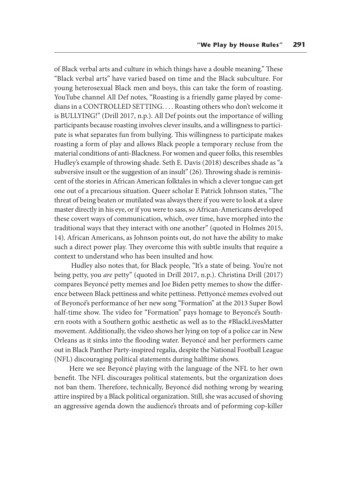of Black verbal arts and culture in which things have a double meaning." These "Black verbal arts" have varied based on time and the Black subculture. For young heterosexual Black men and boys, this can take the form of roasting. YouTube channel All Def notes, "Roasting is a friendly game played by comedians in a CONTROLLED SETTING. . . . Roasting others who don't welcome it is BULLYING!" (Drill 2017, n.p.). All Def points out the importance of willing participants because roasting involves clever insults, and a willingness to participate is what separates fun from bullying. This willingness to participate makes roasting a form of play and allows Black people a temporary recluse from the material conditions of anti-Blackness. For women and queer folks, this resembles Hudley's example of throwing shade. Seth E. Davis (2018) describes shade as "a subversive insult or the suggestion of an insult" (26). Throwing shade is reminiscent of the stories in African American folktales in which a clever tongue can get one out of a precarious situation. Queer scholar E Patrick Johnson states, "The threat of being beaten or mutilated was always there if you were to look at a slave master directly in his eye, or if you were to sass, so African-Americans developed these covert ways of communication, which, over time, have morphed into the traditional ways that they interact with one another" (quoted in Holmes 2015, 14). African Americans, as Johnson points out, do not have the ability to make such a direct power play. They overcome this with subtle insults that require a context to understand who has been insulted and how.

 Hudley also notes that, for Black people, "It's a state of being. You're not being petty, you *are* petty" (quoted in Drill 2017, n.p.). Christina Drill (2017) compares Beyoncé petty memes and Joe Biden petty memes to show the difference between Black pettiness and white pettiness. Pettyoncé memes evolved out of Beyoncé's performance of her new song "Formation" at the 2013 Super Bowl half-time show. The video for "Formation" pays homage to Beyoncé's Southern roots with a Southern gothic aesthetic as well as to the #BlackLivesMatter movement. Additionally, the video shows her lying on top of a police car in New Orleans as it sinks into the flooding water. Beyoncé and her performers came out in Black Panther Party-inspired regalia, despite the National Football League (NFL) discouraging political statements during halftime shows.

Here we see Beyoncé playing with the language of the NFL to her own benefit. The NFL discourages political statements, but the organization does not ban them. Therefore, technically, Beyoncé did nothing wrong by wearing attire inspired by a Black political organization. Still, she was accused of shoving an aggressive agenda down the audience's throats and of peforming cop-killer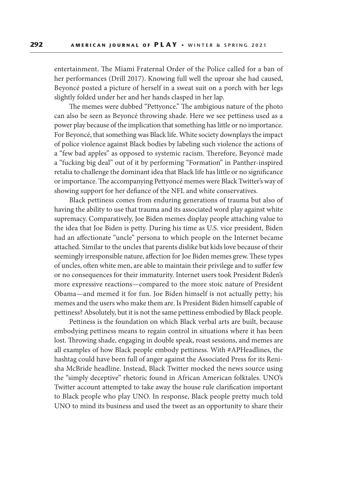entertainment. The Miami Fraternal Order of the Police called for a ban of her performances (Drill 2017). Knowing full well the uproar she had caused, Beyoncé posted a picture of herself in a sweat suit on a porch with her legs slightly folded under her and her hands clasped in her lap.

The memes were dubbed "Pettyonce." The ambigious nature of the photo can also be seen as Beyoncé throwing shade. Here we see pettiness used as a power play because of the implication that something has little or no importance. For Beyoncé, that something was Black life. White society downplays the impact of police violence against Black bodies by labeling such violence the actions of a "few bad apples" as opposed to systemic racism. Therefore, Beyoncé made a "fucking big deal" out of it by performing "Formation" in Panther-inspired retalia to challenge the dominant idea that Black life has little or no significance or importance. The accompanying Pettyoncé memes were Black Twitter's way of showing support for her defiance of the NFL and white conservatives.

Black pettiness comes from enduring generations of trauma but also of having the ability to use that trauma and its associated word play against white supremacy. Comparatively, Joe Biden memes display people attaching value to the idea that Joe Biden is petty. During his time as U.S. vice president, Biden had an affectionate "uncle" persona to which people on the Internet became attached. Similar to the uncles that parents dislike but kids love because of their seemingly irresponsible nature, affection for Joe Biden memes grew. These types of uncles, often white men, are able to maintain their privilege and to suffer few or no consequences for their immaturity. Internet users took President Biden's more expressive reactions—compared to the more stoic nature of President Obama—and memed it for fun. Joe Biden himself is not actually petty; his memes and the users who make them are. Is President Biden himself capable of pettiness? Absolutely, but it is not the same pettiness embodied by Black people.

Pettiness is the foundation on which Black verbal arts are built, because embodying pettiness means to regain control in situations where it has been lost. Throwing shade, engaging in double speak, roast sessions, and memes are all examples of how Black people embody pettiness. With #APHeadlines, the hashtag could have been full of anger against the Associated Press for its Renisha McBride headline. Instead, Black Twitter mocked the news source using the "simply deceptive" rhetoric found in African American folktales. UNO's Twitter account attempted to take away the house rule clarification important to Black people who play UNO. In response, Black people pretty much told UNO to mind its business and used the tweet as an opportunity to share their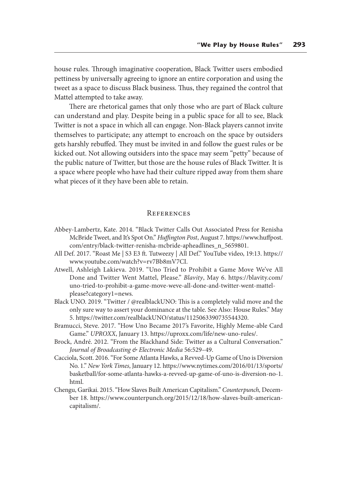house rules. Through imaginative cooperation, Black Twitter users embodied pettiness by universally agreeing to ignore an entire corporation and using the tweet as a space to discuss Black business. Thus, they regained the control that Mattel attempted to take away.

There are rhetorical games that only those who are part of Black culture can understand and play. Despite being in a public space for all to see, Black Twitter is not a space in which all can engage. Non-Black players cannot invite themselves to participate; any attempt to encroach on the space by outsiders gets harshly rebuffed. They must be invited in and follow the guest rules or be kicked out. Not allowing outsiders into the space may seem "petty" because of the public nature of Twitter, but those are the house rules of Black Twitter. It is a space where people who have had their culture ripped away from them share what pieces of it they have been able to retain.

#### **REFERENCES**

- Abbey-Lambertz, Kate. 2014. "Black Twitter Calls Out Associated Press for Renisha McBride Tweet, and It's Spot On." *Huffington Post*, August 7. https://www.huffpost. com/entry/black-twitter-renisha-mcbride-apheadlines\_n\_5659801.
- All Def. 2017. "Roast Me | S3 E3 ft. Tutweezy | All Def." YouTube video, 19:13. https:// www.youtube.com/watch?v=rv7Bb8mV7CI.
- Atwell, Ashleigh Lakieva. 2019. "Uno Tried to Prohibit a Game Move We've All Done and Twitter Went Mattel, Please." *Blavity*, May 6. https://blavity.com/ uno-tried-to-prohibit-a-game-move-weve-all-done-and-twitter-went-mattelplease?category1=news.
- Black UNO. 2019. "Twitter / @realblackUNO: This is a completely valid move and the only sure way to assert your dominance at the table. See Also: House Rules." May 5. https://twitter.com/realblackUNO/status/1125063390735544320.
- Bramucci, Steve. 2017. "How Uno Became 2017's Favorite, Highly Meme-able Card Game." *UPROXX*, January 13. https://uproxx.com/life/new-uno-rules/.
- Brock, André. 2012. "From the Blackhand Side: Twitter as a Cultural Conversation." *Journal of Broadcasting & Electronic Media* 56:529–49.
- Cacciola, Scott. 2016. "For Some Atlanta Hawks, a Revved-Up Game of Uno is Diversion No. 1." *New York Times*, January 12. https://www.nytimes.com/2016/01/13/sports/ basketball/for-some-atlanta-hawks-a-revved-up-game-of-uno-is-diversion-no-1. html.
- Chengu, Garikai. 2015. "How Slaves Built American Capitalism." *Counterpunch,* December 18. https://www.counterpunch.org/2015/12/18/how-slaves-built-americancapitalism/.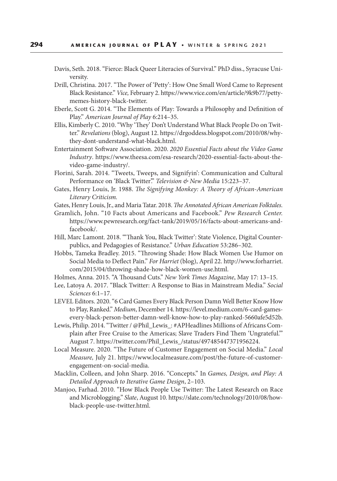- Davis, Seth. 2018. "Fierce: Black Queer Literacies of Survival." PhD diss., Syracuse University.
- Drill, Christina. 2017. "The Power of 'Petty': How One Small Word Came to Represent Black Resistance." *Vice,* February 2. https://www.vice.com/en/article/9k9b77/pettymemes-history-black-twitter.
- Eberle, Scott G. 2014. "The Elements of Play: Towards a Philosophy and Definition of Play." *American Journal of Play* 6:214–35.
- Ellis, Kimberly C. 2010. "Why 'They' Don't Understand What Black People Do on Twitter." *Revelations* (blog), August 12. https://drgoddess.blogspot.com/2010/08/whythey-dont-understand-what-black.html.
- Entertainment Software Association. 2020. *2020 Essential Facts about the Video Game Industry*. https://www.theesa.com/esa-research/2020-essential-facts-about-thevideo-game-industry/.
- Florini, Sarah. 2014. "Tweets, Tweeps, and Signifyin': Communication and Cultural Performance on 'Black Twitter'." *Television & New Media* 15:223–37.
- Gates, Henry Louis, Jr. 1988. *The Signifying Monkey: A Theory of African-American Literary Criticism.*
- Gates, Henry Louis, Jr., and Maria Tatar. 2018. *The Annotated African American Folktales.*
- Gramlich, John. "10 Facts about Americans and Facebook." *Pew Research Center.* https://www.pewresearch.org/fact-tank/2019/05/16/facts-about-americans-andfacebook/.
- Hill, Marc Lamont. 2018. "'Thank You, Black Twitter': State Violence, Digital Counterpublics, and Pedagogies of Resistance." *Urban Education* 53:286–302.
- Hobbs, Tameka Bradley. 2015. "Throwing Shade: How Black Women Use Humor on Social Media to Deflect Pain." *For Harriet* (blog), April 22. http://www.forharriet. com/2015/04/throwing-shade-how-black-women-use.html.
- Holmes, Anna. 2015. "A Thousand Cuts." *New York Times Magazine*, May 17: 13–15.
- Lee, Latoya A. 2017. "Black Twitter: A Response to Bias in Mainstream Media." *Social Sciences* 6:1–17.
- LEVEL Editors. 2020. "6 Card Games Every Black Person Damn Well Better Know How to Play, Ranked." *Medium*, December 14. https://level.medium.com/6-card-gamesevery-black-person-better-damn-well-know-how-to-play-ranked-5660afe5d52b.
- Lewis, Philip. 2014. "Twitter / @Phil\_Lewis\_: #APHeadlines Millions of Africans Complain after Free Cruise to the Americas; Slave Traders Find Them 'Ungrateful.'" August 7. https://twitter.com/Phil\_Lewis\_/status/497485447371956224.
- Local Measure. 2020. "The Future of Customer Engagement on Social Media." *Local Measure,* July 21. https://www.localmeasure.com/post/the-future-of-customerengagement-on-social-media.
- Macklin, Colleen, and John Sharp. 2016. "Concepts." In *Games, Design, and Play: A Detailed Approach to Iterative Game Design*, 2–103.
- Manjoo, Farhad. 2010. "How Black People Use Twitter: The Latest Research on Race and Microblogging." *Slate*, August 10. https://slate.com/technology/2010/08/howblack-people-use-twitter.html.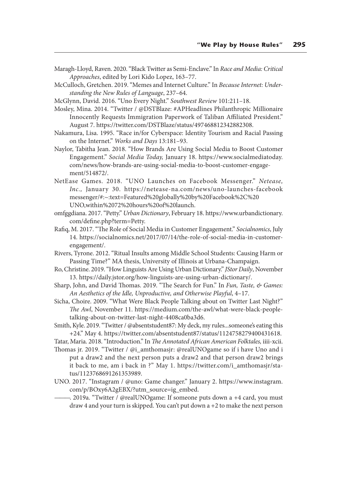- Maragh-Lloyd, Raven. 2020. "Black Twitter as Semi-Enclave." In *Race and Media: Critical Approaches*, edited by Lori Kido Lopez, 163–77.
- McCulloch, Gretchen. 2019. "Memes and Internet Culture." In *Because Internet: Understanding the New Rules of Language*, 237–64.
- McGlynn, David. 2016. "Uno Every Night." *Southwest Review* 101:211–18.
- Mosley, Mina. 2014. "Twitter / @DSTBlaze: #APHeadlines Philanthropic Millionaire Innocently Requests Immigration Paperwork of Taliban Affiliated President." August 7. https://twitter.com/DSTBlaze/status/497468812342882308.
- Nakamura, Lisa. 1995. "Race in/for Cyberspace: Identity Tourism and Racial Passing on the Internet." *Works and Days* 13:181–93.
- Naylor, Tabitha Jean. 2018. "How Brands Are Using Social Media to Boost Customer Engagement." *Social Media Today,* January 18. https://www.socialmediatoday. com/news/how-brands-are-using-social-media-to-boost-customer-engagement/514872/.
- NetEase Games. 2018. "UNO Launches on Facebook Messenger." *Netease, Inc.,* January 30. https://netease-na.com/news/uno-launches-facebook messenger/#:~:text=Featured%20globally%20by%20Facebook%2C%20 UNO,within%2072%20hours%20of%20launch.
- omfggdiana. 2017. "Petty." *Urban Dictionary*, February 18. https://www.urbandictionary. com/define.php?term=Petty.
- Rafiq, M. 2017. "The Role of Social Media in Customer Engagement." *Socialnomics*, July 14. https://socialnomics.net/2017/07/14/the-role-of-social-media-in-customerengagement/.
- Rivers, Tyrone. 2012. "Ritual Insults among Middle School Students: Causing Harm or Passing Time?" MA thesis, University of Illinois at Urbana-Champaign.
- Ro, Christine. 2019. "How Linguists Are Using Urban Dictionary." *JStor Daily*, November 13. https://daily.jstor.org/how-linguists-are-using-urban-dictionary/.
- Sharp, John, and David Thomas. 2019. "The Search for Fun." In *Fun, Taste, & Games: An Aesthetics of the Idle, Unproductive, and Otherwise Playful*, 4–17.
- Sicha, Choire. 2009. "What Were Black People Talking about on Twitter Last Night?" *The Awl*, November 11. https://medium.com/the-awl/what-were-black-peopletalking-about-on-twitter-last-night-4408ca0ba3d6.
- Smith, Kyle. 2019. "Twitter / @absentstudent87: My deck, my rules...someone's eating this +24." May 4. https://twitter.com/absentstudent87/status/1124758279400431618.
- Tatar, Maria. 2018. "Introduction." In *The Annotated African American Folktales,* iiii-xcii.
- Thomas jr. 2019. "Twitter / @i\_amthomasjr: @realUNOgame so if i have Uno and i put a draw2 and the next person puts a draw2 and that person draw2 brings it back to me, am i back in ?" May 1. https://twitter.com/i\_amthomasjr/status/1123768691261353989.
- UNO. 2017. "Instagram / @uno: Game changer." January 2. https://www.instagram. com/p/BOxy6A2gEBX/?utm\_source=ig\_embed.
	- -. 2019a. "Twitter / @realUNOgame: If someone puts down a +4 card, you must draw 4 and your turn is skipped. You can't put down a +2 to make the next person